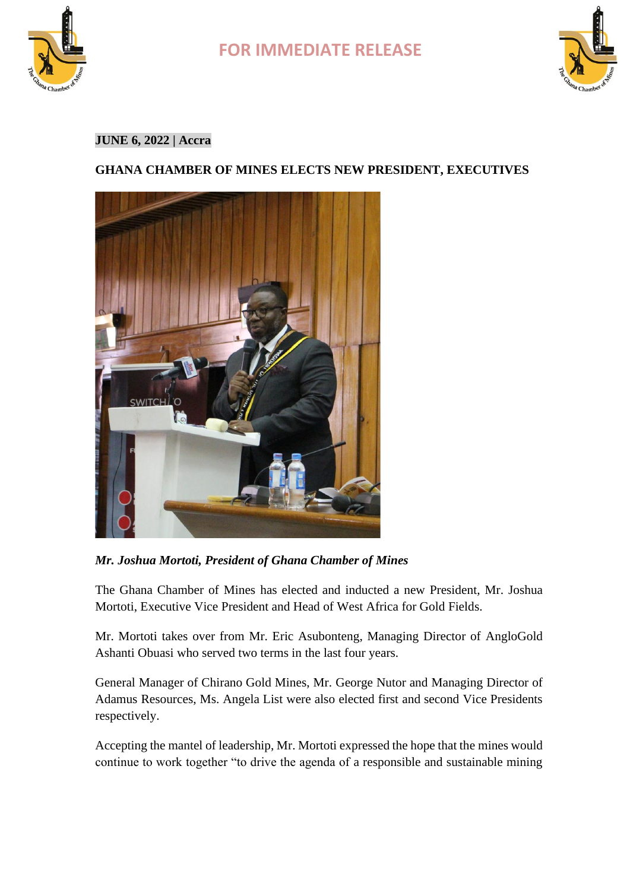



### **JUNE 6, 2022 | Accra**

### **GHANA CHAMBER OF MINES ELECTS NEW PRESIDENT, EXECUTIVES**



*Mr. Joshua Mortoti, President of Ghana Chamber of Mines*

The Ghana Chamber of Mines has elected and inducted a new President, Mr. Joshua Mortoti, Executive Vice President and Head of West Africa for Gold Fields.

Mr. Mortoti takes over from Mr. Eric Asubonteng, Managing Director of AngloGold Ashanti Obuasi who served two terms in the last four years.

General Manager of Chirano Gold Mines, Mr. George Nutor and Managing Director of Adamus Resources, Ms. Angela List were also elected first and second Vice Presidents respectively.

Accepting the mantel of leadership, Mr. Mortoti expressed the hope that the mines would continue to work together "to drive the agenda of a responsible and sustainable mining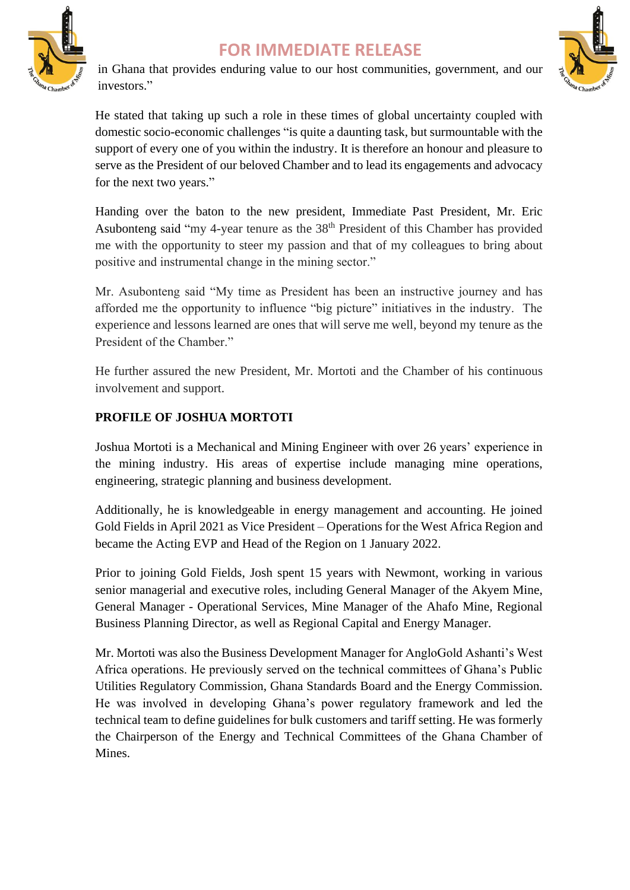

in Ghana that provides enduring value to our host communities, government, and our investors."



He stated that taking up such a role in these times of global uncertainty coupled with domestic socio-economic challenges "is quite a daunting task, but surmountable with the support of every one of you within the industry. It is therefore an honour and pleasure to serve as the President of our beloved Chamber and to lead its engagements and advocacy for the next two years."

Handing over the baton to the new president, Immediate Past President, Mr. Eric Asubonteng said "my 4-year tenure as the 38<sup>th</sup> President of this Chamber has provided me with the opportunity to steer my passion and that of my colleagues to bring about positive and instrumental change in the mining sector."

Mr. Asubonteng said "My time as President has been an instructive journey and has afforded me the opportunity to influence "big picture" initiatives in the industry. The experience and lessons learned are ones that will serve me well, beyond my tenure as the President of the Chamber."

He further assured the new President, Mr. Mortoti and the Chamber of his continuous involvement and support.

### **PROFILE OF JOSHUA MORTOTI**

Joshua Mortoti is a Mechanical and Mining Engineer with over 26 years' experience in the mining industry. His areas of expertise include managing mine operations, engineering, strategic planning and business development.

Additionally, he is knowledgeable in energy management and accounting. He joined Gold Fields in April 2021 as Vice President – Operations for the West Africa Region and became the Acting EVP and Head of the Region on 1 January 2022.

Prior to joining Gold Fields, Josh spent 15 years with Newmont, working in various senior managerial and executive roles, including General Manager of the Akyem Mine, General Manager - Operational Services, Mine Manager of the Ahafo Mine, Regional Business Planning Director, as well as Regional Capital and Energy Manager.

Mr. Mortoti was also the Business Development Manager for AngloGold Ashanti's West Africa operations. He previously served on the technical committees of Ghana's Public Utilities Regulatory Commission, Ghana Standards Board and the Energy Commission. He was involved in developing Ghana's power regulatory framework and led the technical team to define guidelines for bulk customers and tariff setting. He was formerly the Chairperson of the Energy and Technical Committees of the Ghana Chamber of Mines.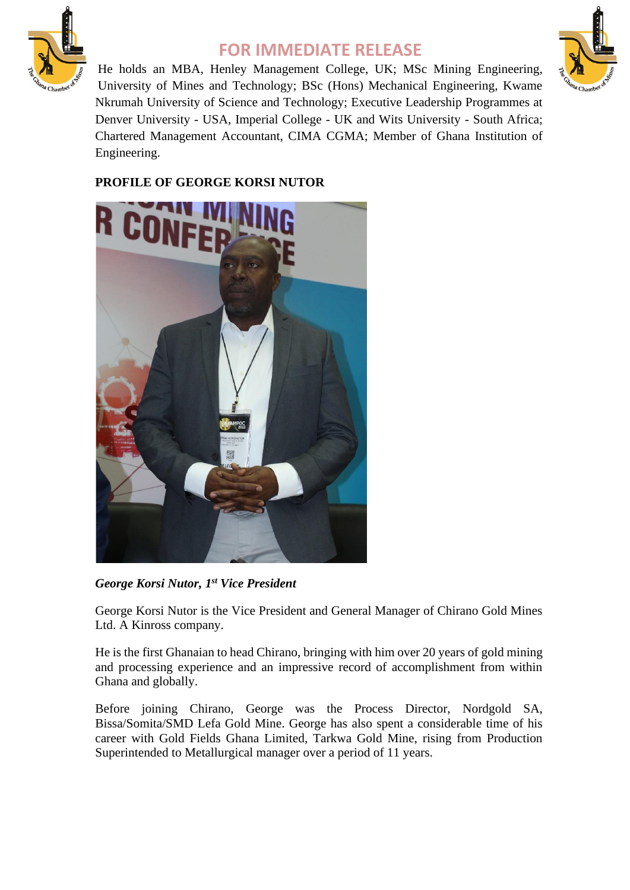



He holds an MBA, Henley Management College, UK; MSc Mining Engineering, University of Mines and Technology; BSc (Hons) Mechanical Engineering, Kwame Nkrumah University of Science and Technology; Executive Leadership Programmes at Denver University - USA, Imperial College - UK and Wits University - South Africa; Chartered Management Accountant, CIMA CGMA; Member of Ghana Institution of Engineering.

### **PROFILE OF GEORGE KORSI NUTOR**



*George Korsi Nutor, 1st Vice President*

George Korsi Nutor is the Vice President and General Manager of Chirano Gold Mines Ltd. A Kinross company.

He is the first Ghanaian to head Chirano, bringing with him over 20 years of gold mining and processing experience and an impressive record of accomplishment from within Ghana and globally.

Before joining Chirano, George was the Process Director, Nordgold SA, Bissa/Somita/SMD Lefa Gold Mine. George has also spent a considerable time of his career with Gold Fields Ghana Limited, Tarkwa Gold Mine, rising from Production Superintended to Metallurgical manager over a period of 11 years.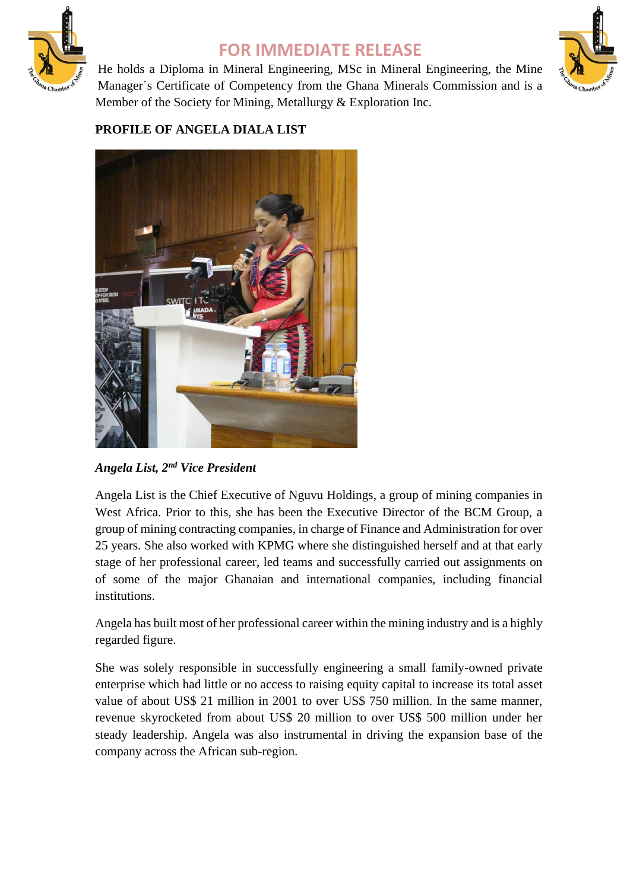

He holds a Diploma in Mineral Engineering, MSc in Mineral Engineering, the Mine Manager´s Certificate of Competency from the Ghana Minerals Commission and is a Member of the Society for Mining, Metallurgy & Exploration Inc.



### **PROFILE OF ANGELA DIALA LIST**



*Angela List, 2nd Vice President*

Angela List is the Chief Executive of Nguvu Holdings, a group of mining companies in West Africa. Prior to this, she has been the Executive Director of the BCM Group, a group of mining contracting companies, in charge of Finance and Administration for over 25 years. She also worked with KPMG where she distinguished herself and at that early stage of her professional career, led teams and successfully carried out assignments on of some of the major Ghanaian and international companies, including financial institutions.

Angela has built most of her professional career within the mining industry and is a highly regarded figure.

She was solely responsible in successfully engineering a small family-owned private enterprise which had little or no access to raising equity capital to increase its total asset value of about US\$ 21 million in 2001 to over US\$ 750 million. In the same manner, revenue skyrocketed from about US\$ 20 million to over US\$ 500 million under her steady leadership. Angela was also instrumental in driving the expansion base of the company across the African sub-region.